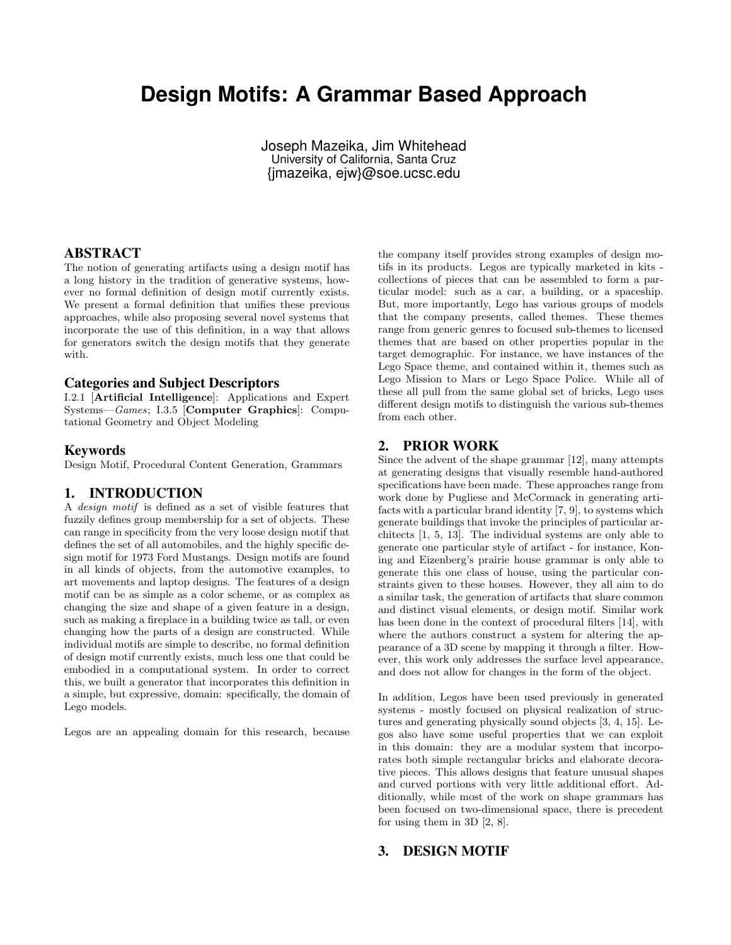# **Design Motifs: A Grammar Based Approach**

Joseph Mazeika, Jim Whitehead University of California, Santa Cruz {jmazeika, ejw}@soe.ucsc.edu

#### ABSTRACT

The notion of generating artifacts using a design motif has a long history in the tradition of generative systems, however no formal definition of design motif currently exists. We present a formal definition that unifies these previous approaches, while also proposing several novel systems that incorporate the use of this definition, in a way that allows for generators switch the design motifs that they generate with.

#### Categories and Subject Descriptors

I.2.1 [Artificial Intelligence]: Applications and Expert Systems—Games; I.3.5 [Computer Graphics]: Computational Geometry and Object Modeling

#### Keywords

Design Motif, Procedural Content Generation, Grammars

#### 1. INTRODUCTION

A design motif is defined as a set of visible features that fuzzily defines group membership for a set of objects. These can range in specificity from the very loose design motif that defines the set of all automobiles, and the highly specific design motif for 1973 Ford Mustangs. Design motifs are found in all kinds of objects, from the automotive examples, to art movements and laptop designs. The features of a design motif can be as simple as a color scheme, or as complex as changing the size and shape of a given feature in a design, such as making a fireplace in a building twice as tall, or even changing how the parts of a design are constructed. While individual motifs are simple to describe, no formal definition of design motif currently exists, much less one that could be embodied in a computational system. In order to correct this, we built a generator that incorporates this definition in a simple, but expressive, domain: specifically, the domain of Lego models.

Legos are an appealing domain for this research, because

the company itself provides strong examples of design motifs in its products. Legos are typically marketed in kits collections of pieces that can be assembled to form a particular model: such as a car, a building, or a spaceship. But, more importantly, Lego has various groups of models that the company presents, called themes. These themes range from generic genres to focused sub-themes to licensed themes that are based on other properties popular in the target demographic. For instance, we have instances of the Lego Space theme, and contained within it, themes such as Lego Mission to Mars or Lego Space Police. While all of these all pull from the same global set of bricks, Lego uses different design motifs to distinguish the various sub-themes from each other.

## 2. PRIOR WORK

Since the advent of the shape grammar [12], many attempts at generating designs that visually resemble hand-authored specifications have been made. These approaches range from work done by Pugliese and McCormack in generating artifacts with a particular brand identity [7, 9], to systems which generate buildings that invoke the principles of particular architects [1, 5, 13]. The individual systems are only able to generate one particular style of artifact - for instance, Koning and Eizenberg's prairie house grammar is only able to generate this one class of house, using the particular constraints given to these houses. However, they all aim to do a similar task, the generation of artifacts that share common and distinct visual elements, or design motif. Similar work has been done in the context of procedural filters [14], with where the authors construct a system for altering the appearance of a 3D scene by mapping it through a filter. However, this work only addresses the surface level appearance, and does not allow for changes in the form of the object.

In addition, Legos have been used previously in generated systems - mostly focused on physical realization of structures and generating physically sound objects [3, 4, 15]. Legos also have some useful properties that we can exploit in this domain: they are a modular system that incorporates both simple rectangular bricks and elaborate decorative pieces. This allows designs that feature unusual shapes and curved portions with very little additional effort. Additionally, while most of the work on shape grammars has been focused on two-dimensional space, there is precedent for using them in 3D [2, 8].

### 3. DESIGN MOTIF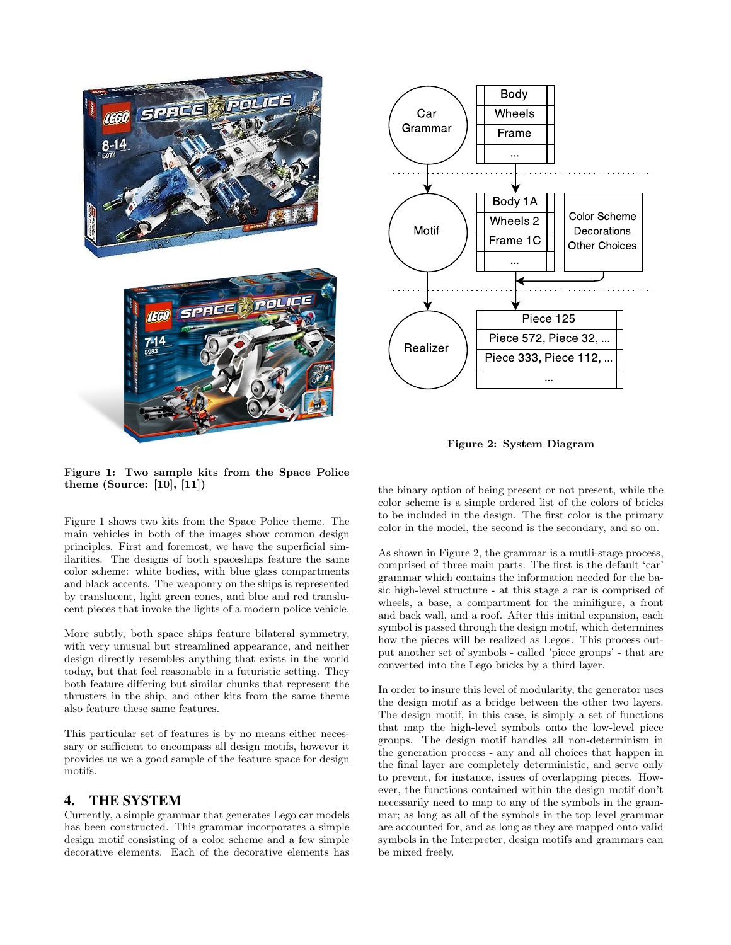



Figure 2: System Diagram

Figure 1: Two sample kits from the Space Police theme (Source: [10], [11])

Figure 1 shows two kits from the Space Police theme. The main vehicles in both of the images show common design principles. First and foremost, we have the superficial similarities. The designs of both spaceships feature the same color scheme: white bodies, with blue glass compartments and black accents. The weaponry on the ships is represented by translucent, light green cones, and blue and red translucent pieces that invoke the lights of a modern police vehicle.

More subtly, both space ships feature bilateral symmetry, with very unusual but streamlined appearance, and neither design directly resembles anything that exists in the world today, but that feel reasonable in a futuristic setting. They both feature differing but similar chunks that represent the thrusters in the ship, and other kits from the same theme also feature these same features.

This particular set of features is by no means either necessary or sufficient to encompass all design motifs, however it provides us we a good sample of the feature space for design motifs.

## 4. THE SYSTEM

Currently, a simple grammar that generates Lego car models has been constructed. This grammar incorporates a simple design motif consisting of a color scheme and a few simple decorative elements. Each of the decorative elements has

the binary option of being present or not present, while the color scheme is a simple ordered list of the colors of bricks to be included in the design. The first color is the primary color in the model, the second is the secondary, and so on.

As shown in Figure 2, the grammar is a mutli-stage process, comprised of three main parts. The first is the default 'car' grammar which contains the information needed for the basic high-level structure - at this stage a car is comprised of wheels, a base, a compartment for the minifigure, a front and back wall, and a roof. After this initial expansion, each symbol is passed through the design motif, which determines how the pieces will be realized as Legos. This process output another set of symbols - called 'piece groups' - that are converted into the Lego bricks by a third layer.

In order to insure this level of modularity, the generator uses the design motif as a bridge between the other two layers. The design motif, in this case, is simply a set of functions that map the high-level symbols onto the low-level piece groups. The design motif handles all non-determinism in the generation process - any and all choices that happen in the final layer are completely deterministic, and serve only to prevent, for instance, issues of overlapping pieces. However, the functions contained within the design motif don't necessarily need to map to any of the symbols in the grammar; as long as all of the symbols in the top level grammar are accounted for, and as long as they are mapped onto valid symbols in the Interpreter, design motifs and grammars can be mixed freely.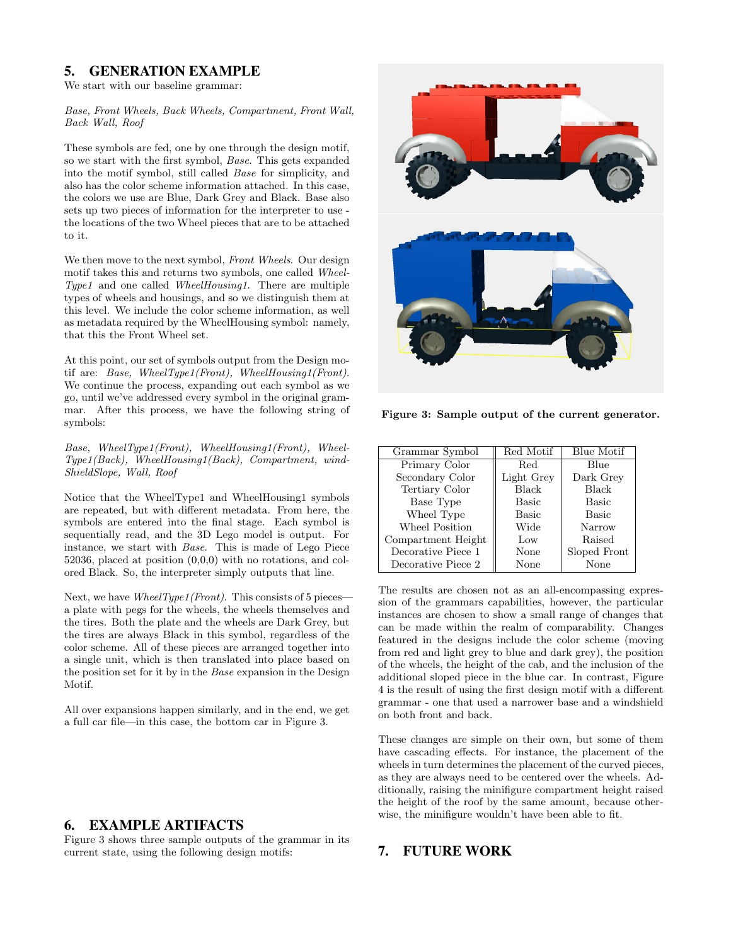## 5. GENERATION EXAMPLE

We start with our baseline grammar:

#### Base, Front Wheels, Back Wheels, Compartment, Front Wall, Back Wall, Roof

These symbols are fed, one by one through the design motif, so we start with the first symbol, Base. This gets expanded into the motif symbol, still called Base for simplicity, and also has the color scheme information attached. In this case, the colors we use are Blue, Dark Grey and Black. Base also sets up two pieces of information for the interpreter to use the locations of the two Wheel pieces that are to be attached to it.

We then move to the next symbol, Front Wheels. Our design motif takes this and returns two symbols, one called Wheel-Type1 and one called WheelHousing1. There are multiple types of wheels and housings, and so we distinguish them at this level. We include the color scheme information, as well as metadata required by the WheelHousing symbol: namely, that this the Front Wheel set.

At this point, our set of symbols output from the Design motif are: Base, WheelType1(Front), WheelHousing1(Front). We continue the process, expanding out each symbol as we go, until we've addressed every symbol in the original grammar. After this process, we have the following string of symbols:

Base, WheelType1(Front), WheelHousing1(Front), Wheel-Type1(Back), WheelHousing1(Back), Compartment, wind-ShieldSlope, Wall, Roof

Notice that the WheelType1 and WheelHousing1 symbols are repeated, but with different metadata. From here, the symbols are entered into the final stage. Each symbol is sequentially read, and the 3D Lego model is output. For instance, we start with Base. This is made of Lego Piece 52036, placed at position (0,0,0) with no rotations, and colored Black. So, the interpreter simply outputs that line.

Next, we have  $WheelType1(Front)$ . This consists of 5 pieces a plate with pegs for the wheels, the wheels themselves and the tires. Both the plate and the wheels are Dark Grey, but the tires are always Black in this symbol, regardless of the color scheme. All of these pieces are arranged together into a single unit, which is then translated into place based on the position set for it by in the Base expansion in the Design Motif.

All over expansions happen similarly, and in the end, we get a full car file—in this case, the bottom car in Figure 3.

## 6. EXAMPLE ARTIFACTS

Figure 3 shows three sample outputs of the grammar in its current state, using the following design motifs:



Figure 3: Sample output of the current generator.

| Grammar Symbol     | Red Motif    | <b>Blue Motif</b> |
|--------------------|--------------|-------------------|
| Primary Color      | Red          | Blue              |
| Secondary Color    | Light Grey   | Dark Grey         |
| Tertiary Color     | <b>Black</b> | <b>Black</b>      |
| Base Type          | <b>Basic</b> | Basic             |
| Wheel Type         | <b>Basic</b> | Basic             |
| Wheel Position     | Wide         | Narrow            |
| Compartment Height | Low          | Raised            |
| Decorative Piece 1 | None         | Sloped Front      |
| Decorative Piece 2 | None         | None              |

The results are chosen not as an all-encompassing expression of the grammars capabilities, however, the particular instances are chosen to show a small range of changes that can be made within the realm of comparability. Changes featured in the designs include the color scheme (moving from red and light grey to blue and dark grey), the position of the wheels, the height of the cab, and the inclusion of the additional sloped piece in the blue car. In contrast, Figure 4 is the result of using the first design motif with a different grammar - one that used a narrower base and a windshield on both front and back.

These changes are simple on their own, but some of them have cascading effects. For instance, the placement of the wheels in turn determines the placement of the curved pieces, as they are always need to be centered over the wheels. Additionally, raising the minifigure compartment height raised the height of the roof by the same amount, because otherwise, the minifigure wouldn't have been able to fit.

## 7. FUTURE WORK